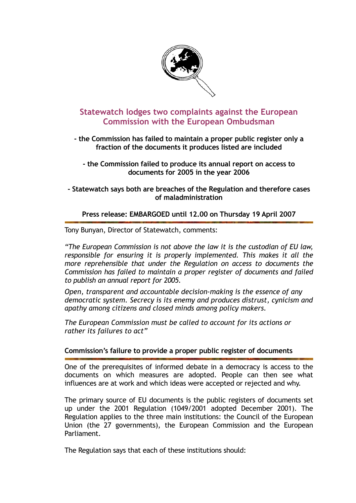

## **Statewatch lodges two complaints against the European Commission with the European Ombudsman**

**- the Commission has failed to maintain a proper public register only a fraction of the documents it produces listed are included** 

**- the Commission failed to produce its annual report on access to documents for 2005 in the year 2006** 

**- Statewatch says both are breaches of the Regulation and therefore cases of maladministration** 

**Press release: EMBARGOED until 12.00 on Thursday 19 April 2007** 

Tony Bunyan, Director of Statewatch, comments:

*"The European Commission is not above the law it is the custodian of EU law, responsible for ensuring it is properly implemented. This makes it all the more reprehensible that under the Regulation on access to documents the Commission has failed to maintain a proper register of documents and failed to publish an annual report for 2005.* 

*Open, transparent and accountable decision-making is the essence of any democratic system. Secrecy is its enemy and produces distrust, cynicism and apathy among citizens and closed minds among policy makers.* 

*The European Commission must be called to account for its actions or rather its failures to act"* 

## **Commission's failure to provide a proper public register of documents**

One of the prerequisites of informed debate in a democracy is access to the documents on which measures are adopted. People can then see what influences are at work and which ideas were accepted or rejected and why.

The primary source of EU documents is the public registers of documents set up under the 2001 Regulation (1049/2001 adopted December 2001). The Regulation applies to the three main institutions: the Council of the European Union (the 27 governments), the European Commission and the European Parliament.

The Regulation says that each of these institutions should: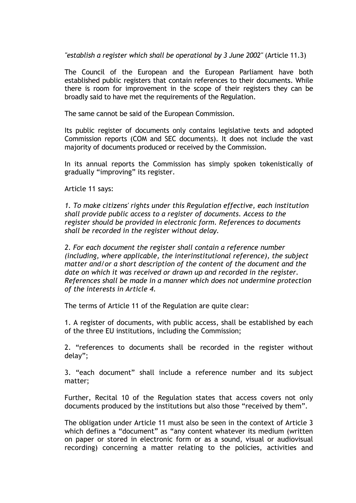*"establish a register which shall be operational by 3 June 2002"* (Article 11.3)

The Council of the European and the European Parliament have both established public registers that contain references to their documents. While there is room for improvement in the scope of their registers they can be broadly said to have met the requirements of the Regulation.

The same cannot be said of the European Commission.

Its public register of documents only contains legislative texts and adopted Commission reports (COM and SEC documents). It does not include the vast majority of documents produced or received by the Commission.

In its annual reports the Commission has simply spoken tokenistically of gradually "improving" its register.

Article 11 says:

*1. To make citizens' rights under this Regulation effective, each institution shall provide public access to a register of documents. Access to the register should be provided in electronic form. References to documents shall be recorded in the register without delay.* 

*2. For each document the register shall contain a reference number (including, where applicable, the interinstitutional reference), the subject matter and/or a short description of the content of the document and the date on which it was received or drawn up and recorded in the register. References shall be made in a manner which does not undermine protection of the interests in Article 4.* 

The terms of Article 11 of the Regulation are quite clear:

1. A register of documents, with public access, shall be established by each of the three EU institutions, including the Commission;

2. "references to documents shall be recorded in the register without delay";

3. "each document" shall include a reference number and its subject matter;

Further, Recital 10 of the Regulation states that access covers not only documents produced by the institutions but also those "received by them".

The obligation under Article 11 must also be seen in the context of Article 3 which defines a "document" as "any content whatever its medium (written on paper or stored in electronic form or as a sound, visual or audiovisual recording) concerning a matter relating to the policies, activities and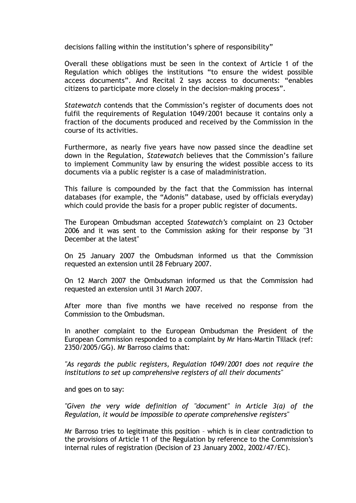decisions falling within the institution's sphere of responsibility"

Overall these obligations must be seen in the context of Article 1 of the Regulation which obliges the institutions "to ensure the widest possible access documents". And Recital 2 says access to documents: "enables citizens to participate more closely in the decision-making process".

*Statewatch* contends that the Commission's register of documents does not fulfil the requirements of Regulation 1049/2001 because it contains only a fraction of the documents produced and received by the Commission in the course of its activities.

Furthermore, as nearly five years have now passed since the deadline set down in the Regulation, *Statewatch* believes that the Commission's failure to implement Community law by ensuring the widest possible access to its documents via a public register is a case of maladministration.

This failure is compounded by the fact that the Commission has internal databases (for example, the "Adonis" database, used by officials everyday) which could provide the basis for a proper public register of documents.

The European Ombudsman accepted *Statewatch's* complaint on 23 October 2006 and it was sent to the Commission asking for their response by "31 December at the latest"

On 25 January 2007 the Ombudsman informed us that the Commission requested an extension until 28 February 2007.

On 12 March 2007 the Ombudsman informed us that the Commission had requested an extension until 31 March 2007.

After more than five months we have received no response from the Commission to the Ombudsman.

In another complaint to the European Ombudsman the President of the European Commission responded to a complaint by Mr Hans-Martin Tillack (ref: 2350/2005/GG). Mr Barroso claims that:

*"As regards the public registers, Regulation 1049/2001 does not require the institutions to set up comprehensive registers of all their documents"* 

and goes on to say:

*"Given the very wide definition of "document" in Article 3(a) of the Regulation, it would be impossible to operate comprehensive registers"* 

Mr Barroso tries to legitimate this position – which is in clear contradiction to the provisions of Article 11 of the Regulation by reference to the Commission's internal rules of registration (Decision of 23 January 2002, 2002/47/EC).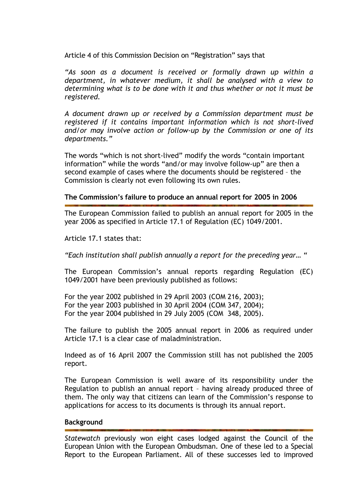Article 4 of this Commission Decision on "Registration" says that

*"As soon as a document is received or formally drawn up within a department, in whatever medium, it shall be analysed with a view to determining what is to be done with it and thus whether or not it must be registered.* 

*A document drawn up or received by a Commission department must be registered if it contains important information which is not short-lived and/or may involve action or follow-up by the Commission or one of its departments."* 

The words "which is not short-lived" modify the words "contain important information" while the words "and/or may involve follow-up" are then a second example of cases where the documents should be registered – the Commission is clearly not even following its own rules.

## **The Commission's failure to produce an annual report for 2005 in 2006**

The European Commission failed to publish an annual report for 2005 in the year 2006 as specified in Article 17.1 of Regulation (EC) 1049/2001.

Article 17.1 states that:

*"Each institution shall publish annually a report for the preceding year… "* 

The European Commission's annual reports regarding Regulation (EC) 1049/2001 have been previously published as follows:

For the year 2002 published in 29 April 2003 (COM 216, 2003); For the year 2003 published in 30 April 2004 (COM 347, 2004); For the year 2004 published in 29 July 2005 (COM 348, 2005).

The failure to publish the 2005 annual report in 2006 as required under Article 17.1 is a clear case of maladministration.

Indeed as of 16 April 2007 the Commission still has not published the 2005 report.

The European Commission is well aware of its responsibility under the Regulation to publish an annual report – having already produced three of them. The only way that citizens can learn of the Commission's response to applications for access to its documents is through its annual report.

## **Background**

*Statewatch* previously won eight cases lodged against the Council of the European Union with the European Ombudsman. One of these led to a Special Report to the European Parliament. All of these successes led to improved